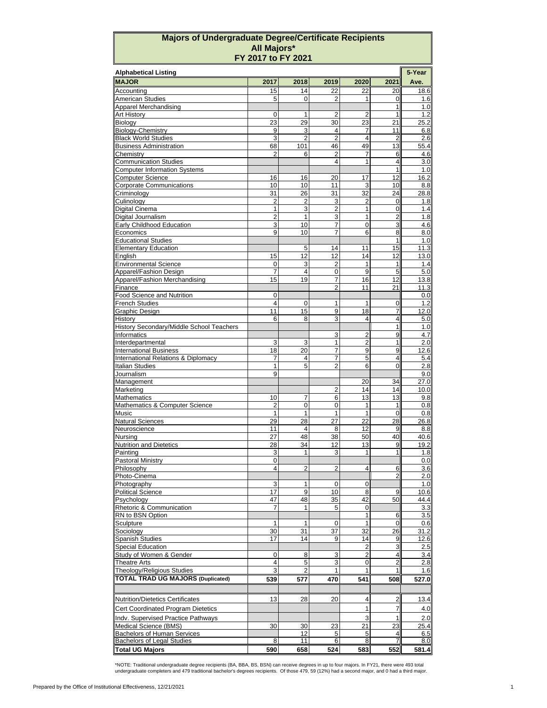## **Majors of Undergraduate Degree/Certificate Recipients All Majors\* FY 2017 to FY 2021**

| <b>Alphabetical Listing</b>                                 |                      |                |                |                      |                |             |  |  |
|-------------------------------------------------------------|----------------------|----------------|----------------|----------------------|----------------|-------------|--|--|
| <b>MAJOR</b>                                                | 2017                 | 2018           | 2019           | 2020                 | 2021           | Ave.        |  |  |
| Accountina                                                  | 15                   | 14             | 22             | 22                   | 20             | 18.6        |  |  |
| <b>American Studies</b>                                     | 5                    | 0              | 2              | 1                    | 0              | 1.6         |  |  |
| <b>Apparel Merchandising</b>                                |                      |                |                |                      | 1              | 1.0         |  |  |
| <b>Art History</b>                                          | 0                    | 1              | $\overline{2}$ | 2                    | 1              | 1.2         |  |  |
| Biology<br><b>Biology-Chemistry</b>                         | 23<br>9              | 29<br>3        | 30<br>4        | 23<br>7              | 21<br>11       | 25.2<br>6.8 |  |  |
| <b>Black World Studies</b>                                  | 3                    | $\overline{2}$ | $\overline{2}$ | $\overline{4}$       | $\overline{2}$ | 2.6         |  |  |
| <b>Business Administration</b>                              | 68                   | 101            | 46             | 49                   | 13             | 55.4        |  |  |
| Chemistry                                                   | $\overline{2}$       | 6              | $\overline{2}$ | 7                    | 6              | 4.6         |  |  |
| <b>Communication Studies</b>                                |                      |                | $\overline{4}$ | 1                    | $\overline{4}$ | 3.0         |  |  |
| <b>Computer Information Systems</b>                         |                      |                |                |                      | 1              | 1.0         |  |  |
| <b>Computer Science</b>                                     | 16                   | 16             | 20             | 17                   | 12             | 16.2        |  |  |
| <b>Corporate Communications</b>                             | 10                   | 10             | 11             | 3                    | 10             | 8.8         |  |  |
| Criminology                                                 | 31<br>$\overline{2}$ | 26             | 31<br>3        | 32<br>$\overline{2}$ | 24             | 28.8        |  |  |
| Culinology<br><b>Digital Cinema</b>                         | 1                    | 2<br>3         | $\overline{2}$ | 1                    | 0<br>0         | 1.8<br>1.4  |  |  |
| Digital Journalism                                          | $\overline{2}$       | $\mathbf{1}$   | 3              | 1                    | 2              | 1.8         |  |  |
| <b>Early Childhood Education</b>                            | 3                    | 10             | $\overline{7}$ | 0                    | 3              | 4.6         |  |  |
| Economics                                                   | 9                    | 10             | 7              | 6                    | 8              | 8.0         |  |  |
| <b>Educational Studies</b>                                  |                      |                |                |                      | 1              | 1.0         |  |  |
| <b>Elementary Education</b>                                 |                      | 5              | 14             | 11                   | 15             | 11.3        |  |  |
| Enalish                                                     | 15                   | 12             | 12             | 14                   | 12             | 13.0        |  |  |
| <b>Environmental Science</b>                                | 0                    | 3              | 2              | 1                    | $\mathbf{1}$   | 1.4         |  |  |
| Apparel/Fashion Design                                      | $\overline{7}$       | $\overline{4}$ | $\mathbf 0$    | 9                    | 5              | 5.0         |  |  |
| Apparel/Fashion Merchandising                               | 15                   | 19             | 7              | 16                   | 12             | 13.8        |  |  |
| Finance<br>Food Science and Nutrition                       | 0                    |                | $\overline{2}$ | 11                   | 21             | 11.3<br>0.0 |  |  |
| <b>French Studies</b>                                       | $\overline{4}$       | 0              | $\mathbf{1}$   | $\mathbf{1}$         | 0              | 1.2         |  |  |
| Graphic Design                                              | 11                   | 15             | 9              | 18                   | $\overline{7}$ | 12.0        |  |  |
| History                                                     | 6                    | 8              | 3              | $\overline{4}$       | 4              | 5.0         |  |  |
| History Secondary/Middle School Teachers                    |                      |                |                |                      | 1              | 1.0         |  |  |
| Informatics                                                 |                      |                | 3              | $\overline{2}$       | 9              | 4.7         |  |  |
| Interdepartmental                                           | 3                    | 3              | 1              | $\overline{2}$       | 1              | 2.0         |  |  |
| <b>International Business</b>                               | 18                   | 20             | 7              | 9                    | 9              | 12.6        |  |  |
| International Relations & Diplomacy                         | $\overline{7}$       | $\overline{4}$ | $\overline{7}$ | 5                    | 4              | 5.4         |  |  |
| <b>Italian Studies</b><br>Journalism                        | 1<br>9               | 5              | $\overline{2}$ | 6                    | 0              | 2.8<br>9.0  |  |  |
| Management                                                  |                      |                |                | 20                   | 34             | 27.0        |  |  |
| Marketing                                                   |                      |                | $\overline{2}$ | 14                   | 14             | 10.0        |  |  |
| <b>Mathematics</b>                                          | 10                   | 7              | 6              | 13                   | 13             | 9.8         |  |  |
| Mathematics & Computer Science                              | $\overline{2}$       | 0              | 0              | $\mathbf{1}$         | $\mathbf{1}$   | 0.8         |  |  |
| Music                                                       | $\mathbf{1}$         | $\mathbf{1}$   | $\mathbf{1}$   | $\mathbf{1}$         | $\mathbf 0$    | 0.8         |  |  |
| <b>Natural Sciences</b>                                     | 29                   | 28             | 27             | 22                   | 28             | 26.8        |  |  |
| Neuroscience                                                | 11                   | $\overline{4}$ | 8              | 12                   | 9              | 8.8         |  |  |
| Nursing                                                     | 27                   | 48             | 38             | 50                   | 40             | 40.6        |  |  |
| <b>Nutrition and Dietetics</b><br>Painting                  | 28                   | 34<br>1        | 12<br>3        | 13                   | 9<br>1         | 19.2        |  |  |
| <b>Pastoral Ministry</b>                                    | 3<br>0               |                |                | 1                    |                | 1.8<br>0.0  |  |  |
| Philosophy                                                  | 4                    | $\overline{2}$ | $\overline{2}$ | 4                    | 6              | 3.6         |  |  |
| Photo-Cinema                                                |                      |                |                |                      | $\overline{2}$ | 2.0         |  |  |
| Photography                                                 | 3                    | 1              | 0              | 0                    |                | 1.0         |  |  |
| <b>Political Science</b>                                    | 17                   | 9              | 10             | 8                    | 9              | 10.6        |  |  |
| Psychology                                                  | 47                   | 48             | 35             | 42                   | 50             | 44.4        |  |  |
| Rhetoric & Communication                                    | $\overline{7}$       | 1              | 5              | 0                    |                | 3.3         |  |  |
| RN to BSN Option                                            |                      |                |                | 1                    | 6              | 3.5         |  |  |
| Sculpture                                                   | 1                    | 1              | 0              | 1                    | $\mathbf 0$    | 0.6         |  |  |
| Sociology<br><b>Spanish Studies</b>                         | 30<br>17             | 31<br>14       | 37<br>9        | 32<br>14             | 26             | 31.2        |  |  |
| <b>Special Education</b>                                    |                      |                |                | 2                    | 9<br>3         | 12.6<br>2.5 |  |  |
| Study of Women & Gender                                     | 0                    | 8              | 3              | $\overline{2}$       | 4              | 3.4         |  |  |
| <b>Theatre Arts</b>                                         | 4                    | $\mathbf 5$    | 3              | 0                    | $\overline{2}$ | 2.8         |  |  |
| Theology/Religious Studies                                  | 3                    | 2              | 1              | 1                    |                | 1.6         |  |  |
| <b>TOTAL TRAD UG MAJORS (Duplicated)</b>                    | 539                  | 577            | 470            | 541                  | 508            | 527.0       |  |  |
|                                                             |                      |                |                |                      |                |             |  |  |
| <b>Nutrition/Dietetics Certificates</b>                     | 13                   | 28             | 20             | 4                    | $\overline{2}$ | 13.4        |  |  |
|                                                             |                      |                |                |                      |                |             |  |  |
| Cert Coordinated Program Dietetics                          |                      |                |                | 1                    | 7              | 4.0         |  |  |
| Indv. Supervised Practice Pathways                          |                      |                |                | 3                    |                | 2.0         |  |  |
| Medical Science (BMS)<br><b>Bachelors of Human Services</b> | 30                   | 30<br>12       | 23<br>5        | 21<br>5              | 23<br>4        | 25.4<br>6.5 |  |  |
| <b>Bachelors of Legal Studies</b>                           | 8                    | 11             | 6              | 8                    | 7              | 8.0         |  |  |
| <b>Total UG Majors</b>                                      | 590                  | 658            | 524            | 583                  | 552            | 581.4       |  |  |

\*NOTE: Traditional undergraduate degree recipients (BA, BBA, BS, BSN) can receive degrees in up to four majors. In FY21, there were 493 total<br>undergraduate completers and 479 traditional bachelor's degrees recipients. Of